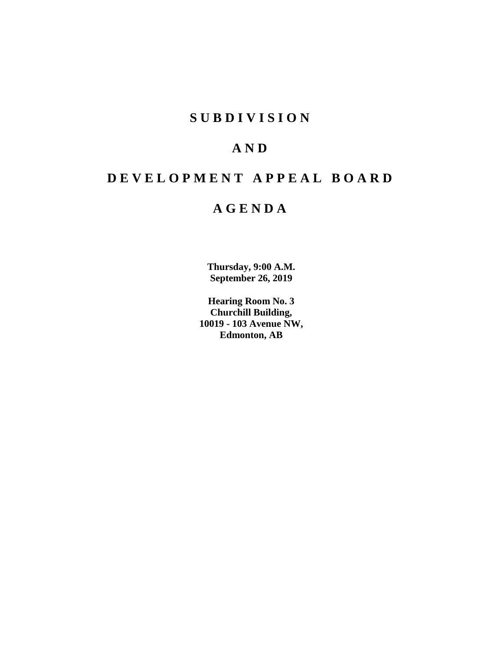# **SUBDIVISION**

# **AND**

# **DEVELOPMENT APPEAL BOARD**

# **AGENDA**

**Thursday, 9:00 A.M. September 26, 2019**

**Hearing Room No. 3 Churchill Building, 10019 - 103 Avenue NW, Edmonton, AB**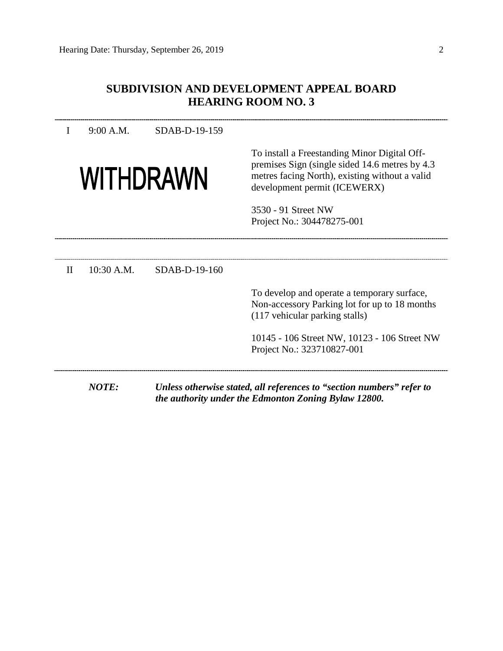## **SUBDIVISION AND DEVELOPMENT APPEAL BOARD HEARING ROOM NO. 3**

I 9:00 A.M. SDAB-D-19-159

# **WITHDRAWN**

To install a Freestanding Minor Digital Offpremises Sign (single sided 14.6 metres by 4.3 metres facing North), existing without a valid development permit (ICEWERX)

3530 - 91 Street NW Project No.: 304478275-001

II 10:30 A.M. SDAB-D-19-160 To develop and operate a temporary surface, Non-accessory Parking lot for up to 18 months (117 vehicular parking stalls) 10145 - 106 Street NW, 10123 - 106 Street NW Project No.: 323710827-001 *NOTE: Unless otherwise stated, all references to "section numbers" refer to the authority under the Edmonton Zoning Bylaw 12800.*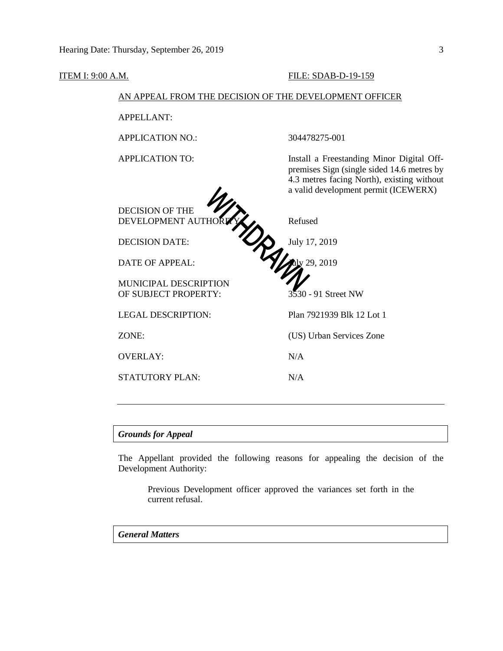#### **ITEM I: 9:00 A.M. FILE: SDAB-D-19-159**

premises Sign (single sided 14.6 metres by 4.3 metres facing North), existing without a valid development permit (ICEWERX)

#### AN APPEAL FROM THE DECISION OF THE DEVELOPMENT OFFICER

APPELLANT:

APPLICATION NO.: 304478275-001

APPLICATION TO: Install a Freestanding Minor Digital Off-

DECISION OF THE DEVELOPMENT AUTHOR**ITY** Refused

MUNICIPAL DESCRIPTION

OVERLAY: N/A

STATUTORY PLAN: N/A

DECISION DATE: July 17, 2019 DATE OF APPEAL:  $\frac{1}{2}$   $\frac{1}{2}$   $\frac{1}{2}$   $\frac{2019}{2}$ OF SUBJECT PROPERTY: 3530 - 91 Street NW LEGAL DESCRIPTION: Plan 7921939 Blk 12 Lot 1 ZONE: (US) Urban Services Zone

#### *Grounds for Appeal*

The Appellant provided the following reasons for appealing the decision of the Development Authority:

Previous Development officer approved the variances set forth in the current refusal.

#### *General Matters*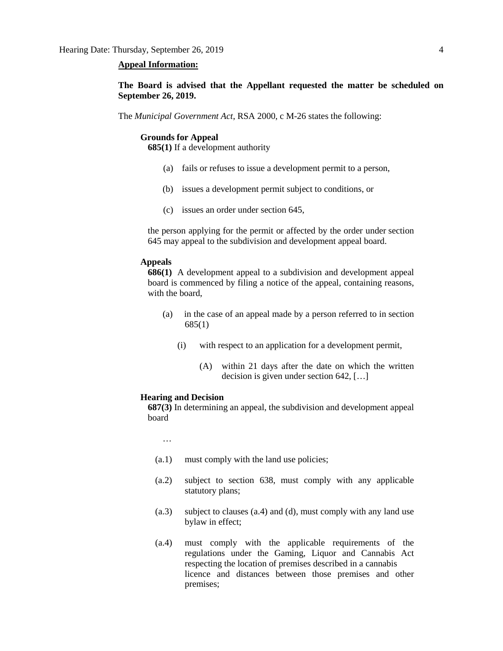#### **Appeal Information:**

**The Board is advised that the Appellant requested the matter be scheduled on September 26, 2019.**

The *Municipal Government Act*, RSA 2000, c M-26 states the following:

#### **Grounds for Appeal**

**685(1)** If a development authority

- (a) fails or refuses to issue a development permit to a person,
- (b) issues a development permit subject to conditions, or
- (c) issues an order under section 645,

the person applying for the permit or affected by the order under section 645 may appeal to the subdivision and development appeal board.

#### **Appeals**

**686(1)** A development appeal to a subdivision and development appeal board is commenced by filing a notice of the appeal, containing reasons, with the board,

- (a) in the case of an appeal made by a person referred to in section 685(1)
	- (i) with respect to an application for a development permit,
		- (A) within 21 days after the date on which the written decision is given under section 642, […]

#### **Hearing and Decision**

**687(3)** In determining an appeal, the subdivision and development appeal board

…

- (a.1) must comply with the land use policies;
- (a.2) subject to section 638, must comply with any applicable statutory plans;
- (a.3) subject to clauses (a.4) and (d), must comply with any land use bylaw in effect;
- (a.4) must comply with the applicable requirements of the regulations under the Gaming, Liquor and Cannabis Act respecting the location of premises described in a cannabis licence and distances between those premises and other premises;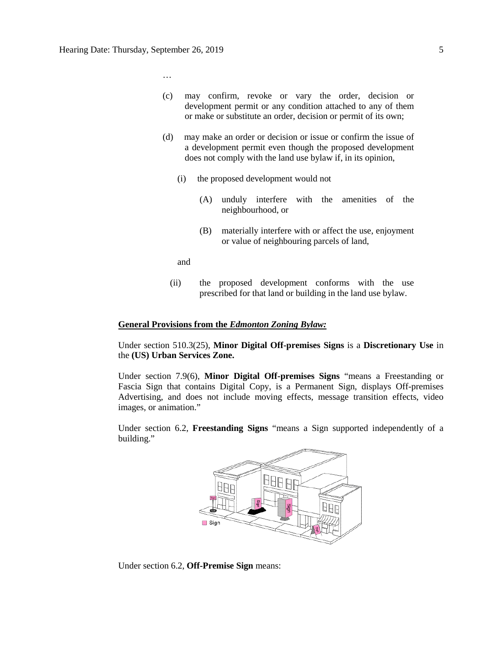…

- (c) may confirm, revoke or vary the order, decision or development permit or any condition attached to any of them or make or substitute an order, decision or permit of its own;
- (d) may make an order or decision or issue or confirm the issue of a development permit even though the proposed development does not comply with the land use bylaw if, in its opinion,
	- (i) the proposed development would not
		- (A) unduly interfere with the amenities of the neighbourhood, or
		- (B) materially interfere with or affect the use, enjoyment or value of neighbouring parcels of land,

and

(ii) the proposed development conforms with the use prescribed for that land or building in the land use bylaw.

#### **General Provisions from the** *Edmonton Zoning Bylaw:*

Under section 510.3(25), **Minor Digital Off-premises Signs** is a **Discretionary Use** in the **(US) Urban Services Zone.** 

Under section 7.9(6), **Minor Digital Off-premises Signs** "means a Freestanding or Fascia Sign that contains Digital Copy, is a Permanent Sign, displays Off-premises Advertising, and does not include moving effects, message transition effects, video images, or animation."

Under section 6.2, **Freestanding Signs** "means a Sign supported independently of a building."



Under section 6.2, **Off-Premise Sign** means: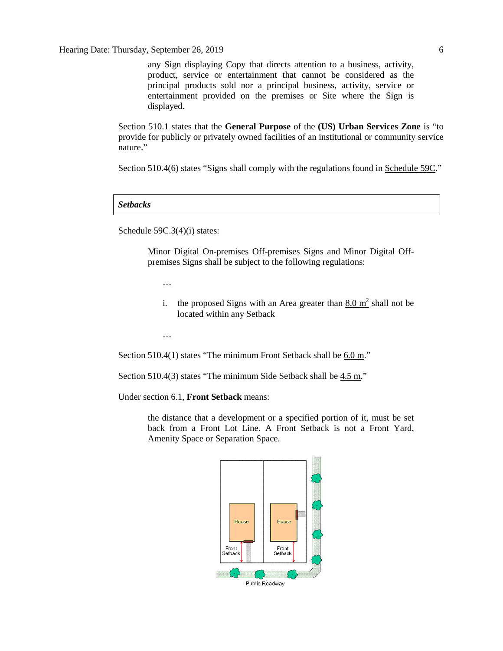Hearing Date: Thursday, September 26, 2019 6

any Sign displaying Copy that directs attention to a business, activity, product, service or entertainment that cannot be considered as the principal products sold nor a principal business, activity, service or entertainment provided on the premises or Site where the Sign is displayed.

Section 510.1 states that the **General Purpose** of the **(US) Urban Services Zone** is "to provide for publicly or privately owned facilities of an institutional or community service nature."

Section 510.4(6) states "Signs shall comply with the regulations found in Schedule 59C."

#### *Setbacks*

Schedule 59C.3(4)(i) states:

Minor Digital On-premises Off-premises Signs and Minor Digital Offpremises Signs shall be subject to the following regulations:

…

i. the proposed Signs with an Area greater than  $8.0 \text{ m}^2$  shall not be located within any Setback

…

Section 510.4(1) states "The minimum Front Setback shall be 6.0 m."

Section 510.4(3) states "The minimum Side Setback shall be  $4.5$  m."

Under section 6.1, **Front Setback** means:

the distance that a development or a specified portion of it, must be set back from a Front Lot Line. A Front Setback is not a Front Yard, Amenity Space or Separation Space.

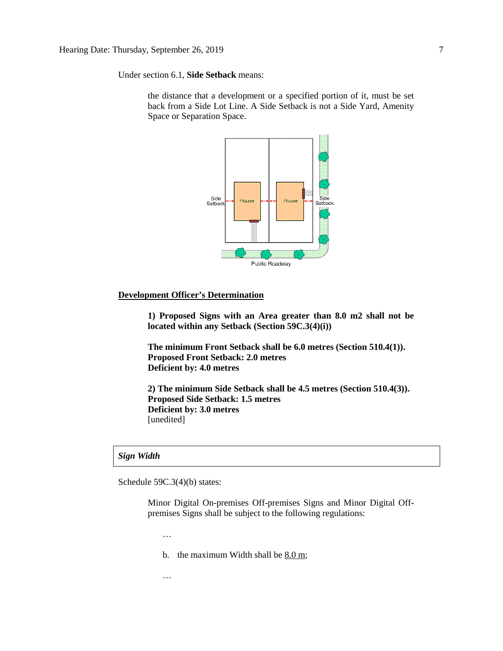Under section 6.1, **Side Setback** means:

the distance that a development or a specified portion of it, must be set back from a Side Lot Line. A Side Setback is not a Side Yard, Amenity Space or Separation Space.



#### **Development Officer's Determination**

**1) Proposed Signs with an Area greater than 8.0 m2 shall not be located within any Setback (Section 59C.3(4)(i))**

**The minimum Front Setback shall be 6.0 metres (Section 510.4(1)). Proposed Front Setback: 2.0 metres Deficient by: 4.0 metres** 

**2) The minimum Side Setback shall be 4.5 metres (Section 510.4(3)). Proposed Side Setback: 1.5 metres Deficient by: 3.0 metres**  [unedited]

#### *Sign Width*

Schedule 59C.3(4)(b) states:

Minor Digital On-premises Off-premises Signs and Minor Digital Offpremises Signs shall be subject to the following regulations:

…

b. the maximum Width shall be  $8.0 \text{ m}$ ;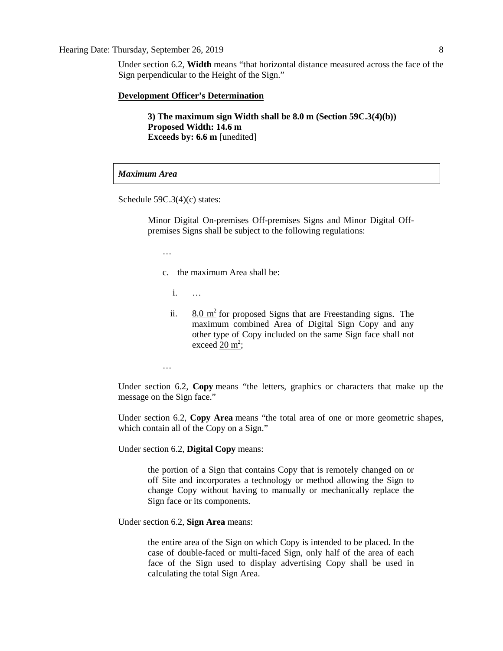#### Hearing Date: Thursday, September 26, 2019 8

Under section 6.2, **Width** means "that horizontal distance measured across the face of the Sign perpendicular to the Height of the Sign."

#### **Development Officer's Determination**

**3) The maximum sign Width shall be 8.0 m (Section 59C.3(4)(b)) Proposed Width: 14.6 m Exceeds by: 6.6 m** [unedited]

#### *Maximum Area*

Schedule 59C.3(4)(c) states:

Minor Digital On-premises Off-premises Signs and Minor Digital Offpremises Signs shall be subject to the following regulations:

…

- c. the maximum Area shall be:
	- i. …
	- ii.  $8.0 \text{ m}^2$  for proposed Signs that are Freestanding signs. The maximum combined Area of Digital Sign Copy and any other type of Copy included on the same Sign face shall not exceed  $20 \text{ m}^2$ ;

…

Under section 6.2, **Copy** means "the letters, graphics or characters that make up the message on the Sign face."

Under section 6.2, **Copy Area** means "the total area of one or more geometric shapes, which contain all of the Copy on a Sign."

Under section 6.2, **Digital Copy** means:

the portion of a Sign that contains Copy that is remotely changed on or off Site and incorporates a technology or method allowing the Sign to change Copy without having to manually or mechanically replace the Sign face or its components.

Under section 6.2, **Sign Area** means:

the entire area of the Sign on which Copy is intended to be placed. In the case of double-faced or multi-faced Sign, only half of the area of each face of the Sign used to display advertising Copy shall be used in calculating the total Sign Area.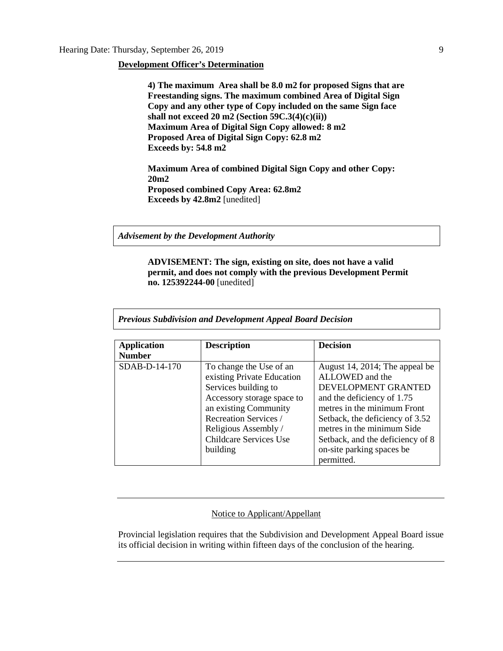#### **Development Officer's Determination**

**4) The maximum Area shall be 8.0 m2 for proposed Signs that are Freestanding signs. The maximum combined Area of Digital Sign Copy and any other type of Copy included on the same Sign face shall not exceed 20 m2 (Section 59C.3(4)(c)(ii)) Maximum Area of Digital Sign Copy allowed: 8 m2 Proposed Area of Digital Sign Copy: 62.8 m2 Exceeds by: 54.8 m2**

**Maximum Area of combined Digital Sign Copy and other Copy: 20m2 Proposed combined Copy Area: 62.8m2 Exceeds by 42.8m2** [unedited]

*Advisement by the Development Authority*

**ADVISEMENT: The sign, existing on site, does not have a valid permit, and does not comply with the previous Development Permit no. 125392244-00** [unedited]

*Previous Subdivision and Development Appeal Board Decision*

| <b>Application</b> | <b>Description</b>            | <b>Decision</b>                  |
|--------------------|-------------------------------|----------------------------------|
| <b>Number</b>      |                               |                                  |
| SDAB-D-14-170      | To change the Use of an       | August 14, 2014; The appeal be   |
|                    | existing Private Education    | ALLOWED and the                  |
|                    | Services building to          | DEVELOPMENT GRANTED              |
|                    | Accessory storage space to    | and the deficiency of 1.75       |
|                    | an existing Community         | metres in the minimum Front      |
|                    | Recreation Services /         | Setback, the deficiency of 3.52  |
|                    | Religious Assembly /          | metres in the minimum Side       |
|                    | <b>Childcare Services Use</b> | Setback, and the deficiency of 8 |
|                    | building                      | on-site parking spaces be        |
|                    |                               | permitted.                       |

#### Notice to Applicant/Appellant

Provincial legislation requires that the Subdivision and Development Appeal Board issue its official decision in writing within fifteen days of the conclusion of the hearing.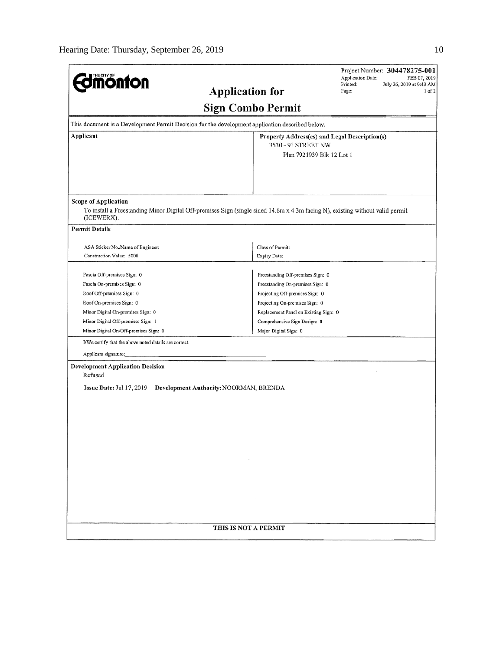|                                                                         | Project Number: 304478275-001<br>Application Date:<br>FEB 07, 2019                                                            |  |  |  |  |
|-------------------------------------------------------------------------|-------------------------------------------------------------------------------------------------------------------------------|--|--|--|--|
| <b>Imonton</b>                                                          | Printed:<br>July 26, 2019 at 9:43 AM<br><b>Application for</b><br>Page:<br>$1$ of $2$                                         |  |  |  |  |
| <b>Sign Combo Permit</b>                                                |                                                                                                                               |  |  |  |  |
|                                                                         | This document is a Development Permit Decision for the development application described below.                               |  |  |  |  |
| Applicant<br>Property Address(es) and Legal Description(s)              |                                                                                                                               |  |  |  |  |
|                                                                         | 3530 - 91 STREET NW                                                                                                           |  |  |  |  |
|                                                                         | Plan 7921939 Blk 12 Lot 1                                                                                                     |  |  |  |  |
|                                                                         |                                                                                                                               |  |  |  |  |
|                                                                         |                                                                                                                               |  |  |  |  |
| Scope of Application                                                    |                                                                                                                               |  |  |  |  |
| (ICEWERX).                                                              | To install a Freestanding Minor Digital Off-premises Sign (single sided 14.6m x 4.3m facing N), existing without valid permit |  |  |  |  |
| <b>Permit Details</b>                                                   |                                                                                                                               |  |  |  |  |
| ASA Sticker No./Name of Engineer:                                       | Class of Permit:                                                                                                              |  |  |  |  |
| Construction Value: 5000                                                | <b>Expiry Date:</b>                                                                                                           |  |  |  |  |
|                                                                         |                                                                                                                               |  |  |  |  |
| Fascia Off-premises Sign: 0                                             | Freestanding Off-premises Sign: 0                                                                                             |  |  |  |  |
| Fascia On-premises Sign: 0                                              | Freestanding On-premises Sign: 0                                                                                              |  |  |  |  |
| Roof Off-premises Sign: 0                                               | Projecting Off-premises Sign: 0                                                                                               |  |  |  |  |
| Roof On-premises Sign: 0                                                | Projecting On-premises Sign: 0                                                                                                |  |  |  |  |
| Minor Digital On-premises Sign: 0<br>Minor Digital Off-premises Sign: 1 | Replacement Panel on Existing Sign: 0<br>Comprehensive Sign Design: 0                                                         |  |  |  |  |
| Minor Digital On/Off-premises Sign: 0                                   | Major Digital Sign: 0                                                                                                         |  |  |  |  |
| I/We certify that the above noted details are correct.                  |                                                                                                                               |  |  |  |  |
|                                                                         |                                                                                                                               |  |  |  |  |
| Applicant signature:                                                    |                                                                                                                               |  |  |  |  |
| <b>Development Application Decision</b>                                 |                                                                                                                               |  |  |  |  |
| Refused                                                                 |                                                                                                                               |  |  |  |  |
| Issue Date: Jul $17, 2019$                                              | Development Authority: NOORMAN, BRENDA                                                                                        |  |  |  |  |
|                                                                         |                                                                                                                               |  |  |  |  |
|                                                                         |                                                                                                                               |  |  |  |  |
|                                                                         |                                                                                                                               |  |  |  |  |
|                                                                         |                                                                                                                               |  |  |  |  |
|                                                                         |                                                                                                                               |  |  |  |  |
|                                                                         |                                                                                                                               |  |  |  |  |
|                                                                         |                                                                                                                               |  |  |  |  |
|                                                                         |                                                                                                                               |  |  |  |  |
|                                                                         |                                                                                                                               |  |  |  |  |
|                                                                         |                                                                                                                               |  |  |  |  |
|                                                                         |                                                                                                                               |  |  |  |  |
|                                                                         |                                                                                                                               |  |  |  |  |
|                                                                         |                                                                                                                               |  |  |  |  |
| THIS IS NOT A PERMIT                                                    |                                                                                                                               |  |  |  |  |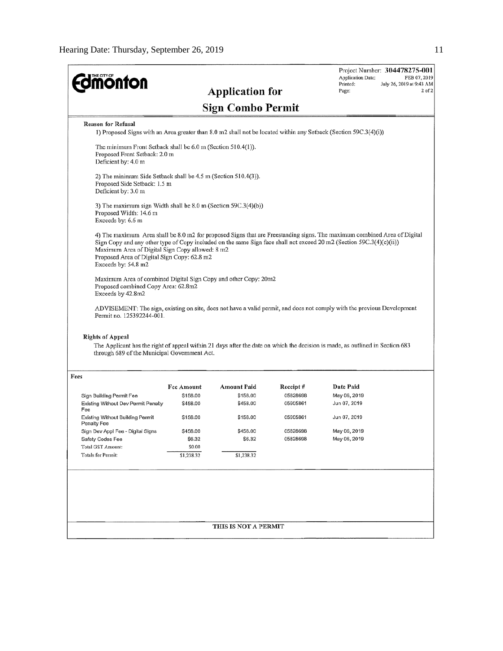|                                                                                                                                                                                                                                                                                                                                                                           |                                                                                                                  |                          |           | <b>Application Date:</b> | Project Number: 304478275-001<br>FEB 07, 2019 |  |
|---------------------------------------------------------------------------------------------------------------------------------------------------------------------------------------------------------------------------------------------------------------------------------------------------------------------------------------------------------------------------|------------------------------------------------------------------------------------------------------------------|--------------------------|-----------|--------------------------|-----------------------------------------------|--|
| <b><i><u><u>monton</u></u></i></b>                                                                                                                                                                                                                                                                                                                                        |                                                                                                                  |                          |           | Printed:                 | July 26, 2019 at 9:43 AM                      |  |
|                                                                                                                                                                                                                                                                                                                                                                           |                                                                                                                  | <b>Application for</b>   |           | Page:                    | $2$ of $2$                                    |  |
|                                                                                                                                                                                                                                                                                                                                                                           |                                                                                                                  | <b>Sign Combo Permit</b> |           |                          |                                               |  |
| <b>Reason for Refusal</b>                                                                                                                                                                                                                                                                                                                                                 |                                                                                                                  |                          |           |                          |                                               |  |
|                                                                                                                                                                                                                                                                                                                                                                           | 1) Proposed Signs with an Area greater than 8.0 m2 shall not be located within any Setback (Section 59C.3(4)(i)) |                          |           |                          |                                               |  |
| The minimum Front Setback shall be 6.0 m (Section 510.4(1)).<br>Proposed Front Setback: 2.0 m<br>Deficient by: 4.0 m                                                                                                                                                                                                                                                      |                                                                                                                  |                          |           |                          |                                               |  |
| 2) The minimum Side Setback shall be 4.5 m (Section 510.4(3)).<br>Proposed Side Setback: 1.5 m<br>Deficient by: 3.0 m                                                                                                                                                                                                                                                     |                                                                                                                  |                          |           |                          |                                               |  |
| 3) The maximum sign Width shall be 8.0 m (Section 59C.3(4)(b))<br>Proposed Width: 14.6 m<br>Exceeds by: 6.6 m                                                                                                                                                                                                                                                             |                                                                                                                  |                          |           |                          |                                               |  |
| 4) The maximum Area shall be 8.0 m2 for proposed Signs that are Freestanding signs. The maximum combined Area of Digital<br>Sign Copy and any other type of Copy included on the same Sign face shall not exceed 20 m2 (Section 59C.3(4)(c)(ii))<br>Maximum Area of Digital Sign Copy allowed: 8 m2<br>Proposed Area of Digital Sign Copy: 62.8 m2<br>Exceeds by: 54.8 m2 |                                                                                                                  |                          |           |                          |                                               |  |
| Maximum Area of combined Digital Sign Copy and other Copy: 20m2<br>Proposed combined Copy Area: 62.8m2<br>Exceeds by 42.8m2                                                                                                                                                                                                                                               |                                                                                                                  |                          |           |                          |                                               |  |
| ADVISEMENT: The sign, existing on site, does not have a valid permit, and does not comply with the previous Development<br>Permit no. 125392244-001.                                                                                                                                                                                                                      |                                                                                                                  |                          |           |                          |                                               |  |
| <b>Rights of Appeal</b><br>The Applicant has the right of appeal within 21 days after the date on which the decision is made, as outlined in Section 683<br>through 689 of the Municipal Government Act.                                                                                                                                                                  |                                                                                                                  |                          |           |                          |                                               |  |
| Fees                                                                                                                                                                                                                                                                                                                                                                      |                                                                                                                  |                          |           |                          |                                               |  |
|                                                                                                                                                                                                                                                                                                                                                                           | <b>Fee Amount</b>                                                                                                | <b>Amount Paid</b>       | Receipt # | Date Paid                |                                               |  |
| Sign Building Permit Fee                                                                                                                                                                                                                                                                                                                                                  | \$158.00                                                                                                         | \$158.00                 | 05828698  | May 06, 2019             |                                               |  |
| Existing Without Dev Permit Penalty<br>Fee                                                                                                                                                                                                                                                                                                                                | \$458.00                                                                                                         | \$458.00                 | 05905861  | Jun 07, 2019             |                                               |  |
| <b>Existing Without Building Permit</b>                                                                                                                                                                                                                                                                                                                                   | \$158.00                                                                                                         | \$158.00                 | 05905861  | Jun 07, 2019             |                                               |  |
| <b>Penalty Fee</b><br>Sign Dev Appl Fee - Digital Signs                                                                                                                                                                                                                                                                                                                   | \$458.00                                                                                                         | \$458.00                 | 05828698  | May 06, 2019             |                                               |  |
| Safety Codes Fee                                                                                                                                                                                                                                                                                                                                                          | \$6.32                                                                                                           | \$6.32                   | 05828698  | May 06, 2019             |                                               |  |
| <b>Total GST Amount:</b>                                                                                                                                                                                                                                                                                                                                                  | \$0.00                                                                                                           |                          |           |                          |                                               |  |
| Totals for Permit:                                                                                                                                                                                                                                                                                                                                                        | \$1,238.32                                                                                                       | \$1,238.32               |           |                          |                                               |  |
|                                                                                                                                                                                                                                                                                                                                                                           |                                                                                                                  |                          |           |                          |                                               |  |
|                                                                                                                                                                                                                                                                                                                                                                           |                                                                                                                  |                          |           |                          |                                               |  |
|                                                                                                                                                                                                                                                                                                                                                                           |                                                                                                                  |                          |           |                          |                                               |  |
|                                                                                                                                                                                                                                                                                                                                                                           |                                                                                                                  |                          |           |                          |                                               |  |
| THIS IS NOT A PERMIT                                                                                                                                                                                                                                                                                                                                                      |                                                                                                                  |                          |           |                          |                                               |  |
|                                                                                                                                                                                                                                                                                                                                                                           |                                                                                                                  |                          |           |                          |                                               |  |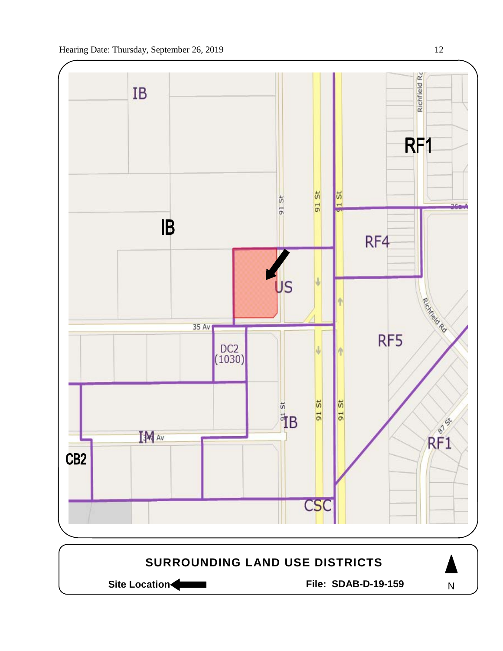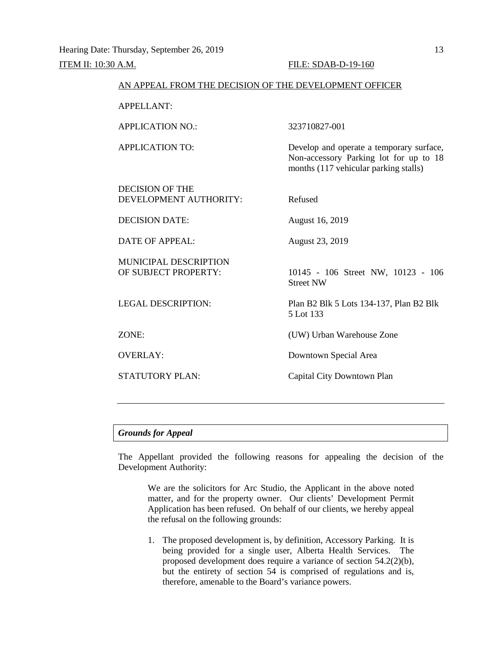# AN APPEAL FROM THE DECISION OF THE DEVELOPMENT OFFICER APPELLANT: APPLICATION NO.: 323710827-001 APPLICATION TO: Develop and operate a temporary surface, Non-accessory Parking lot for up to 18 months (117 vehicular parking stalls) DECISION OF THE DEVELOPMENT AUTHORITY: Refused DECISION DATE: August 16, 2019 DATE OF APPEAL: August 23, 2019 MUNICIPAL DESCRIPTION<br>OF SUBJECT PROPERTY: 10145 - 106 Street NW, 10123 - 106 Street NW LEGAL DESCRIPTION: Plan B2 Blk 5 Lots 134-137, Plan B2 Blk 5 Lot 133 ZONE: (UW) Urban Warehouse Zone OVERLAY: Downtown Special Area STATUTORY PLAN: Capital City Downtown Plan

#### *Grounds for Appeal*

The Appellant provided the following reasons for appealing the decision of the Development Authority:

We are the solicitors for Arc Studio, the Applicant in the above noted matter, and for the property owner. Our clients' Development Permit Application has been refused. On behalf of our clients, we hereby appeal the refusal on the following grounds:

1. The proposed development is, by definition, Accessory Parking. It is being provided for a single user, Alberta Health Services. The proposed development does require a variance of section 54.2(2)(b), but the entirety of section 54 is comprised of regulations and is, therefore, amenable to the Board's variance powers.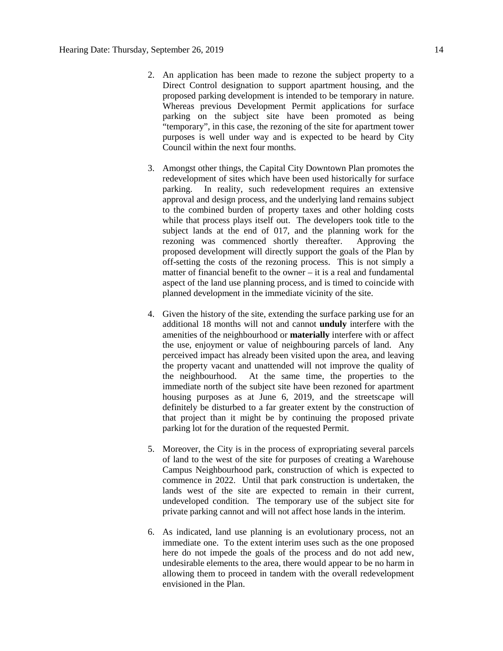- 2. An application has been made to rezone the subject property to a Direct Control designation to support apartment housing, and the proposed parking development is intended to be temporary in nature. Whereas previous Development Permit applications for surface parking on the subject site have been promoted as being "temporary", in this case, the rezoning of the site for apartment tower purposes is well under way and is expected to be heard by City Council within the next four months.
- 3. Amongst other things, the Capital City Downtown Plan promotes the redevelopment of sites which have been used historically for surface parking. In reality, such redevelopment requires an extensive approval and design process, and the underlying land remains subject to the combined burden of property taxes and other holding costs while that process plays itself out. The developers took title to the subject lands at the end of 017, and the planning work for the rezoning was commenced shortly thereafter. Approving the proposed development will directly support the goals of the Plan by off-setting the costs of the rezoning process. This is not simply a matter of financial benefit to the owner – it is a real and fundamental aspect of the land use planning process, and is timed to coincide with planned development in the immediate vicinity of the site.
- 4. Given the history of the site, extending the surface parking use for an additional 18 months will not and cannot **unduly** interfere with the amenities of the neighbourhood or **materially** interfere with or affect the use, enjoyment or value of neighbouring parcels of land. Any perceived impact has already been visited upon the area, and leaving the property vacant and unattended will not improve the quality of the neighbourhood. At the same time, the properties to the immediate north of the subject site have been rezoned for apartment housing purposes as at June 6, 2019, and the streetscape will definitely be disturbed to a far greater extent by the construction of that project than it might be by continuing the proposed private parking lot for the duration of the requested Permit.
- 5. Moreover, the City is in the process of expropriating several parcels of land to the west of the site for purposes of creating a Warehouse Campus Neighbourhood park, construction of which is expected to commence in 2022. Until that park construction is undertaken, the lands west of the site are expected to remain in their current, undeveloped condition. The temporary use of the subject site for private parking cannot and will not affect hose lands in the interim.
- 6. As indicated, land use planning is an evolutionary process, not an immediate one. To the extent interim uses such as the one proposed here do not impede the goals of the process and do not add new, undesirable elements to the area, there would appear to be no harm in allowing them to proceed in tandem with the overall redevelopment envisioned in the Plan.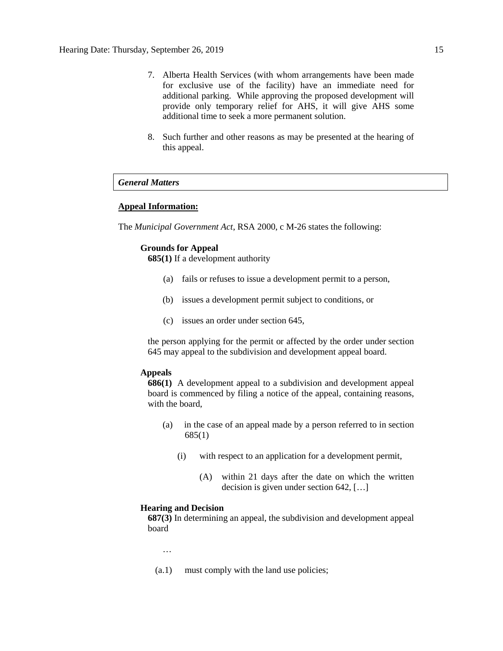- 7. Alberta Health Services (with whom arrangements have been made for exclusive use of the facility) have an immediate need for additional parking. While approving the proposed development will provide only temporary relief for AHS, it will give AHS some additional time to seek a more permanent solution.
- 8. Such further and other reasons as may be presented at the hearing of this appeal.

#### *General Matters*

#### **Appeal Information:**

The *Municipal Government Act*, RSA 2000, c M-26 states the following:

#### **Grounds for Appeal**

**685(1)** If a development authority

- (a) fails or refuses to issue a development permit to a person,
- (b) issues a development permit subject to conditions, or
- (c) issues an order under section 645,

the person applying for the permit or affected by the order under section 645 may appeal to the subdivision and development appeal board.

#### **Appeals**

**686(1)** A development appeal to a subdivision and development appeal board is commenced by filing a notice of the appeal, containing reasons, with the board,

- (a) in the case of an appeal made by a person referred to in section 685(1)
	- (i) with respect to an application for a development permit,
		- (A) within 21 days after the date on which the written decision is given under section 642, […]

#### **Hearing and Decision**

**687(3)** In determining an appeal, the subdivision and development appeal board

…

(a.1) must comply with the land use policies;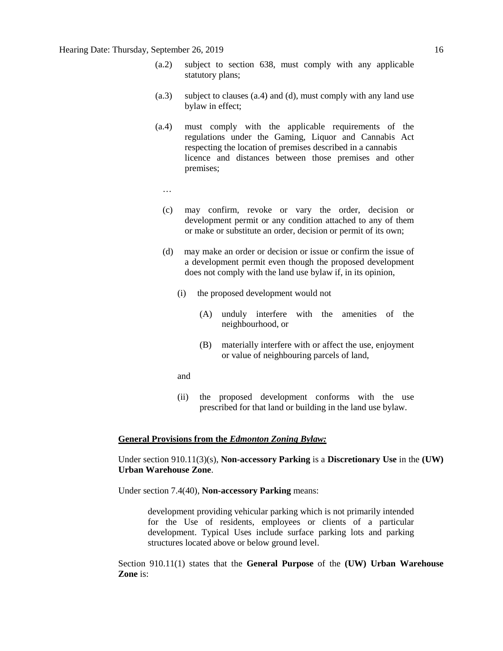- (a.2) subject to section 638, must comply with any applicable statutory plans;
- (a.3) subject to clauses (a.4) and (d), must comply with any land use bylaw in effect;
- (a.4) must comply with the applicable requirements of the regulations under the Gaming, Liquor and Cannabis Act respecting the location of premises described in a cannabis licence and distances between those premises and other premises;
	- …
	- (c) may confirm, revoke or vary the order, decision or development permit or any condition attached to any of them or make or substitute an order, decision or permit of its own;
	- (d) may make an order or decision or issue or confirm the issue of a development permit even though the proposed development does not comply with the land use bylaw if, in its opinion,
		- (i) the proposed development would not
			- (A) unduly interfere with the amenities of the neighbourhood, or
			- (B) materially interfere with or affect the use, enjoyment or value of neighbouring parcels of land,
		- and
		- (ii) the proposed development conforms with the use prescribed for that land or building in the land use bylaw.

#### **General Provisions from the** *Edmonton Zoning Bylaw:*

Under section 910.11(3)(s), **Non-accessory Parking** is a **Discretionary Use** in the **(UW) Urban Warehouse Zone**.

Under section 7.4(40), **Non-accessory Parking** means:

development providing vehicular parking which is not primarily intended for the Use of residents, employees or clients of a particular development. Typical Uses include surface parking lots and parking structures located above or below ground level.

Section 910.11(1) states that the **General Purpose** of the **(UW) Urban Warehouse Zone** is: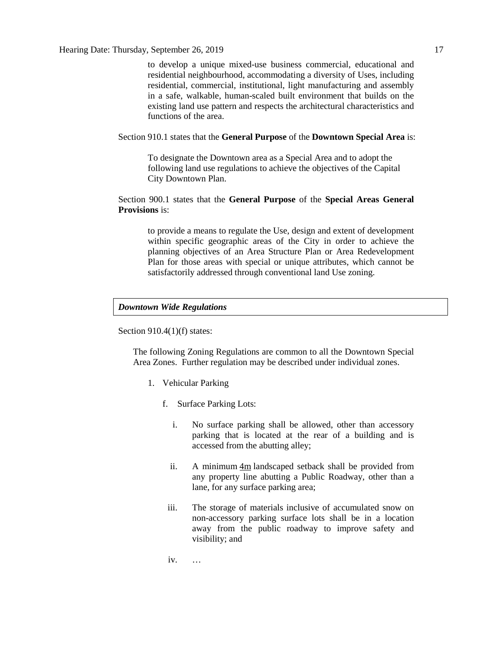to develop a unique mixed-use business commercial, educational and residential neighbourhood, accommodating a diversity of Uses, including residential, commercial, institutional, light manufacturing and assembly in a safe, walkable, human-scaled built environment that builds on the existing land use pattern and respects the architectural characteristics and functions of the area.

#### Section 910.1 states that the **General Purpose** of the **Downtown Special Area** is:

To designate the Downtown area as a Special Area and to adopt the following land use regulations to achieve the objectives of the Capital City Downtown Plan.

#### Section 900.1 states that the **General Purpose** of the **Special Areas General Provisions** is:

to provide a means to regulate the Use, design and extent of development within specific geographic areas of the City in order to achieve the planning objectives of an Area Structure Plan or Area Redevelopment Plan for those areas with special or unique attributes, which cannot be satisfactorily addressed through conventional land Use zoning.

#### *Downtown Wide Regulations*

Section 910.4(1)(f) states:

The following Zoning Regulations are common to all the Downtown Special Area Zones. Further regulation may be described under individual zones.

- 1. Vehicular Parking
	- f. Surface Parking Lots:
		- i. No surface parking shall be allowed, other than accessory parking that is located at the rear of a building and is accessed from the abutting alley;
		- ii. A minimum [4m](javascript:void(0);) landscaped setback shall be provided from any property line abutting a Public Roadway, other than a lane, for any surface parking area;
		- iii. The storage of materials inclusive of accumulated snow on non-accessory parking surface lots shall be in a location away from the public roadway to improve safety and visibility; and
		- iv. …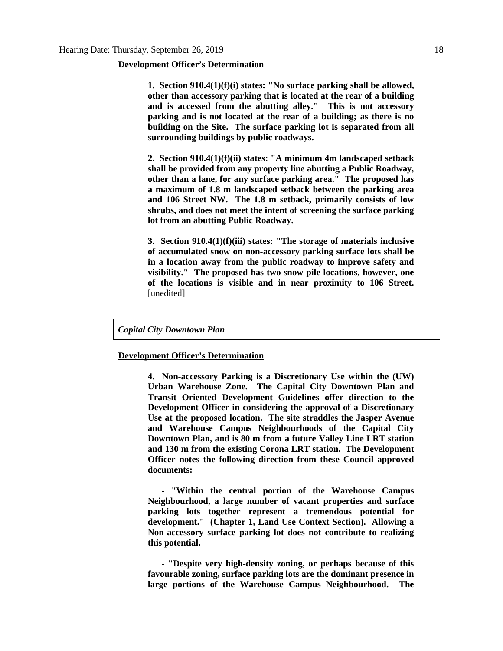#### **Development Officer's Determination**

**1. Section 910.4(1)(f)(i) states: "No surface parking shall be allowed, other than accessory parking that is located at the rear of a building and is accessed from the abutting alley." This is not accessory parking and is not located at the rear of a building; as there is no building on the Site. The surface parking lot is separated from all surrounding buildings by public roadways.**

**2. Section 910.4(1)(f)(ii) states: "A minimum 4m landscaped setback shall be provided from any property line abutting a Public Roadway, other than a lane, for any surface parking area." The proposed has a maximum of 1.8 m landscaped setback between the parking area and 106 Street NW. The 1.8 m setback, primarily consists of low shrubs, and does not meet the intent of screening the surface parking lot from an abutting Public Roadway.**

**3. Section 910.4(1)(f)(iii) states: "The storage of materials inclusive of accumulated snow on non-accessory parking surface lots shall be in a location away from the public roadway to improve safety and visibility." The proposed has two snow pile locations, however, one of the locations is visible and in near proximity to 106 Street.**  [unedited]

*Capital City Downtown Plan*

#### **Development Officer's Determination**

**4. Non-accessory Parking is a Discretionary Use within the (UW) Urban Warehouse Zone. The Capital City Downtown Plan and Transit Oriented Development Guidelines offer direction to the Development Officer in considering the approval of a Discretionary Use at the proposed location. The site straddles the Jasper Avenue and Warehouse Campus Neighbourhoods of the Capital City Downtown Plan, and is 80 m from a future Valley Line LRT station and 130 m from the existing Corona LRT station. The Development Officer notes the following direction from these Council approved documents:**

 **- "Within the central portion of the Warehouse Campus Neighbourhood, a large number of vacant properties and surface parking lots together represent a tremendous potential for development." (Chapter 1, Land Use Context Section). Allowing a Non-accessory surface parking lot does not contribute to realizing this potential.**

 **- "Despite very high-density zoning, or perhaps because of this favourable zoning, surface parking lots are the dominant presence in large portions of the Warehouse Campus Neighbourhood. The**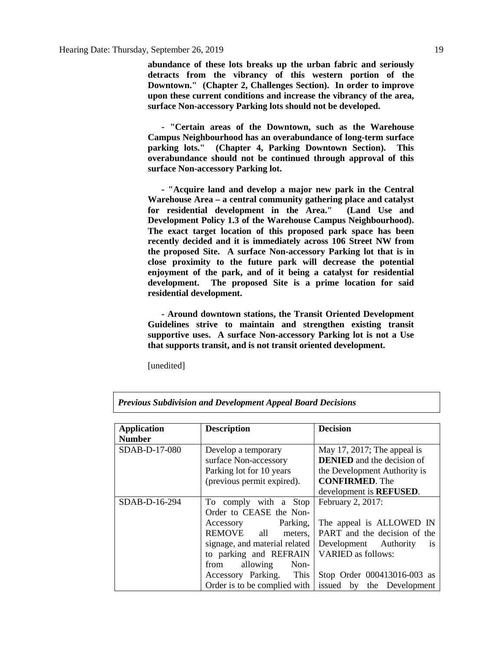**abundance of these lots breaks up the urban fabric and seriously detracts from the vibrancy of this western portion of the Downtown." (Chapter 2, Challenges Section). In order to improve upon these current conditions and increase the vibrancy of the area, surface Non-accessory Parking lots should not be developed.**

 **- "Certain areas of the Downtown, such as the Warehouse Campus Neighbourhood has an overabundance of long-term surface parking lots." (Chapter 4, Parking Downtown Section). This overabundance should not be continued through approval of this surface Non-accessory Parking lot.**

 **- "Acquire land and develop a major new park in the Central Warehouse Area – a central community gathering place and catalyst for residential development in the Area." (Land Use and Development Policy 1.3 of the Warehouse Campus Neighbourhood). The exact target location of this proposed park space has been recently decided and it is immediately across 106 Street NW from the proposed Site. A surface Non-accessory Parking lot that is in close proximity to the future park will decrease the potential enjoyment of the park, and of it being a catalyst for residential development. The proposed Site is a prime location for said residential development.**

 **- Around downtown stations, the Transit Oriented Development Guidelines strive to maintain and strengthen existing transit supportive uses. A surface Non-accessory Parking lot is not a Use that supports transit, and is not transit oriented development.**

[unedited]

| <b>Application</b> | <b>Description</b>                                                                                     | <b>Decision</b>                                                                                                           |  |
|--------------------|--------------------------------------------------------------------------------------------------------|---------------------------------------------------------------------------------------------------------------------------|--|
| <b>Number</b>      |                                                                                                        |                                                                                                                           |  |
| SDAB-D-17-080      | Develop a temporary<br>surface Non-accessory<br>Parking lot for 10 years<br>(previous permit expired). | May 17, 2017; The appeal is<br><b>DENIED</b> and the decision of<br>the Development Authority is<br><b>CONFIRMED.</b> The |  |
|                    |                                                                                                        | development is <b>REFUSED</b> .                                                                                           |  |
| SDAB-D-16-294      | To comply with a Stop<br>Order to CEASE the Non-                                                       | February 2, 2017:                                                                                                         |  |
|                    | Accessory Parking,<br>REMOVE all<br>meters,<br>signage, and material related<br>to parking and REFRAIN | The appeal is ALLOWED IN<br>PART and the decision of the<br>Development Authority<br>1S<br><b>VARIED</b> as follows:      |  |
|                    | Non-<br>allowing<br>from<br>Accessory Parking. This<br>Order is to be complied with                    | Stop Order 000413016-003 as<br>issued by the Development                                                                  |  |

*Previous Subdivision and Development Appeal Board Decisions*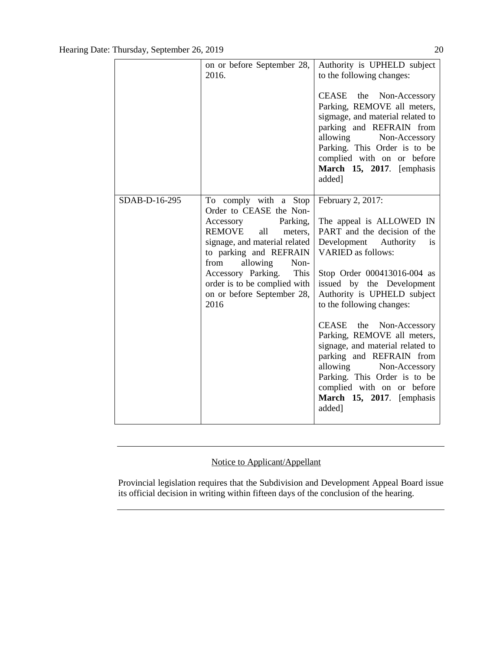|               | on or before September 28,<br>2016.                                                                                                                                                                                                                                                                     | Authority is UPHELD subject<br>to the following changes:<br>CEASE<br>the Non-Accessory<br>Parking, REMOVE all meters,<br>sigmage, and material related to<br>parking and REFRAIN from<br>allowing Non-Accessory<br>Parking. This Order is to be<br>complied with on or before<br>March 15, 2017. [emphasis<br>added]                                                                                                                                                                                                       |
|---------------|---------------------------------------------------------------------------------------------------------------------------------------------------------------------------------------------------------------------------------------------------------------------------------------------------------|----------------------------------------------------------------------------------------------------------------------------------------------------------------------------------------------------------------------------------------------------------------------------------------------------------------------------------------------------------------------------------------------------------------------------------------------------------------------------------------------------------------------------|
| SDAB-D-16-295 | To comply with a Stop<br>Order to CEASE the Non-<br>Accessory<br>Parking,<br><b>REMOVE</b><br>all<br>meters,<br>signage, and material related<br>to parking and REFRAIN<br>from<br>allowing<br>Non-<br>Accessory Parking.<br>This<br>order is to be complied with<br>on or before September 28,<br>2016 | February 2, 2017:<br>The appeal is ALLOWED IN<br>PART and the decision of the<br>Development Authority<br>is<br><b>VARIED</b> as follows:<br>Stop Order 000413016-004 as<br>issued by the Development<br>Authority is UPHELD subject<br>to the following changes:<br>CEASE the Non-Accessory<br>Parking, REMOVE all meters,<br>signage, and material related to<br>parking and REFRAIN from<br>allowing Non-Accessory<br>Parking. This Order is to be<br>complied with on or before<br>March 15, 2017. [emphasis<br>added] |

### Notice to Applicant/Appellant

Provincial legislation requires that the Subdivision and Development Appeal Board issue its official decision in writing within fifteen days of the conclusion of the hearing.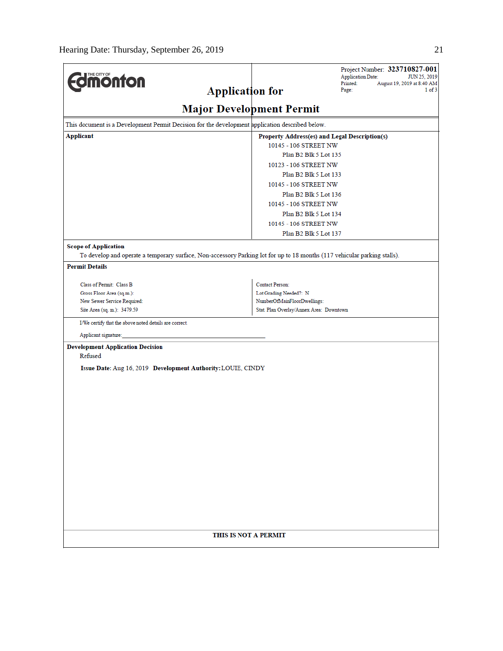| <b>dimonton</b>                                                                                                           |                                         | Project Number: 323710827-001<br><b>Application Date:</b><br>JUN 25, 2019 |  |  |
|---------------------------------------------------------------------------------------------------------------------------|-----------------------------------------|---------------------------------------------------------------------------|--|--|
| <b>Application for</b>                                                                                                    |                                         | Printed:<br>August 19, 2019 at 8:40 AM<br>1 of 3<br>Page:                 |  |  |
|                                                                                                                           |                                         |                                                                           |  |  |
| <b>Major Development Permit</b>                                                                                           |                                         |                                                                           |  |  |
| This document is a Development Permit Decision for the development application described below.                           |                                         |                                                                           |  |  |
| <b>Applicant</b><br>Property Address(es) and Legal Description(s)                                                         |                                         |                                                                           |  |  |
| 10145 - 106 STREET NW<br>Plan B2 Blk 5 Lot 135                                                                            |                                         |                                                                           |  |  |
|                                                                                                                           |                                         |                                                                           |  |  |
| 10123 - 106 STREET NW                                                                                                     |                                         |                                                                           |  |  |
| Plan B2 Blk 5 Lot 133                                                                                                     |                                         |                                                                           |  |  |
| 10145 - 106 STREET NW<br>Plan B2 Blk 5 Lot 136                                                                            |                                         |                                                                           |  |  |
|                                                                                                                           |                                         |                                                                           |  |  |
| 10145 - 106 STREET NW<br>Plan B2 Blk 5 Lot 134                                                                            |                                         |                                                                           |  |  |
|                                                                                                                           | 10145 - 106 STREET NW                   |                                                                           |  |  |
|                                                                                                                           | Plan B2 Blk 5 Lot 137                   |                                                                           |  |  |
|                                                                                                                           |                                         |                                                                           |  |  |
| <b>Scope of Application</b>                                                                                               |                                         |                                                                           |  |  |
| To develop and operate a temporary surface, Non-accessory Parking lot for up to 18 months (117 vehicular parking stalls). |                                         |                                                                           |  |  |
| <b>Permit Details</b>                                                                                                     |                                         |                                                                           |  |  |
| Class of Permit: Class B                                                                                                  | <b>Contact Person:</b>                  |                                                                           |  |  |
| Gross Floor Area (sq.m.):                                                                                                 | Lot Grading Needed?: N                  |                                                                           |  |  |
| New Sewer Service Required:                                                                                               | NumberOfMainFloorDwellings:             |                                                                           |  |  |
| Site Area (sq. m.): 3479.59                                                                                               | Stat. Plan Overlay/Annex Area: Downtown |                                                                           |  |  |
| I/We certify that the above noted details are correct.                                                                    |                                         |                                                                           |  |  |
| Applicant signature:                                                                                                      |                                         |                                                                           |  |  |
| <b>Development Application Decision</b><br>Refused                                                                        |                                         |                                                                           |  |  |
| Issue Date: Aug 16, 2019 Development Authority: LOUIE, CINDY                                                              |                                         |                                                                           |  |  |
|                                                                                                                           |                                         |                                                                           |  |  |
|                                                                                                                           |                                         |                                                                           |  |  |
|                                                                                                                           |                                         |                                                                           |  |  |
|                                                                                                                           |                                         |                                                                           |  |  |
|                                                                                                                           |                                         |                                                                           |  |  |
|                                                                                                                           |                                         |                                                                           |  |  |
|                                                                                                                           |                                         |                                                                           |  |  |
|                                                                                                                           |                                         |                                                                           |  |  |
|                                                                                                                           |                                         |                                                                           |  |  |
|                                                                                                                           |                                         |                                                                           |  |  |
|                                                                                                                           |                                         |                                                                           |  |  |
|                                                                                                                           |                                         |                                                                           |  |  |
|                                                                                                                           |                                         |                                                                           |  |  |
|                                                                                                                           |                                         |                                                                           |  |  |
|                                                                                                                           |                                         |                                                                           |  |  |
|                                                                                                                           |                                         |                                                                           |  |  |
| THIS IS NOT A PERMIT                                                                                                      |                                         |                                                                           |  |  |
|                                                                                                                           |                                         |                                                                           |  |  |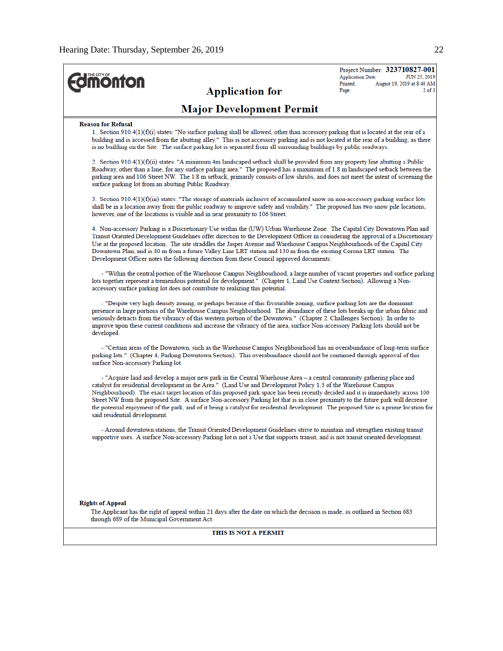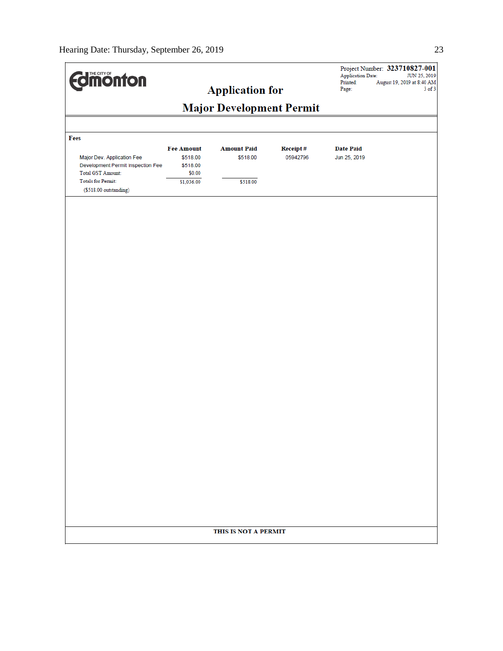| <b>dimonton</b>                                                                                                                                     |                                                                   | <b>Application for</b>                     |                             | <b>Application Date:</b><br>Printed:<br>Page: | Project Number: 323710827-001<br>JUN 25, 2019<br>August 19, 2019 at 8:40 AM<br>$3$ of $3$ |
|-----------------------------------------------------------------------------------------------------------------------------------------------------|-------------------------------------------------------------------|--------------------------------------------|-----------------------------|-----------------------------------------------|-------------------------------------------------------------------------------------------|
| <b>Major Development Permit</b>                                                                                                                     |                                                                   |                                            |                             |                                               |                                                                                           |
|                                                                                                                                                     |                                                                   |                                            |                             |                                               |                                                                                           |
| Fees<br>Major Dev. Application Fee<br>Development Permit Inspection Fee<br>Total GST Amount:<br><b>Totals for Permit:</b><br>(\$518.00 outstanding) | <b>Fee Amount</b><br>\$518.00<br>\$518.00<br>\$0.00<br>\$1,036.00 | <b>Amount Paid</b><br>\$518.00<br>\$518.00 | <b>Receipt#</b><br>05942796 | <b>Date Paid</b><br>Jun 25, 2019              |                                                                                           |
|                                                                                                                                                     |                                                                   |                                            |                             |                                               |                                                                                           |
|                                                                                                                                                     |                                                                   |                                            |                             |                                               |                                                                                           |
|                                                                                                                                                     |                                                                   |                                            |                             |                                               |                                                                                           |
|                                                                                                                                                     |                                                                   |                                            |                             |                                               |                                                                                           |
|                                                                                                                                                     |                                                                   |                                            |                             |                                               |                                                                                           |
|                                                                                                                                                     |                                                                   |                                            |                             |                                               |                                                                                           |
|                                                                                                                                                     |                                                                   |                                            |                             |                                               |                                                                                           |
|                                                                                                                                                     |                                                                   |                                            |                             |                                               |                                                                                           |
| THIS IS NOT A PERMIT                                                                                                                                |                                                                   |                                            |                             |                                               |                                                                                           |